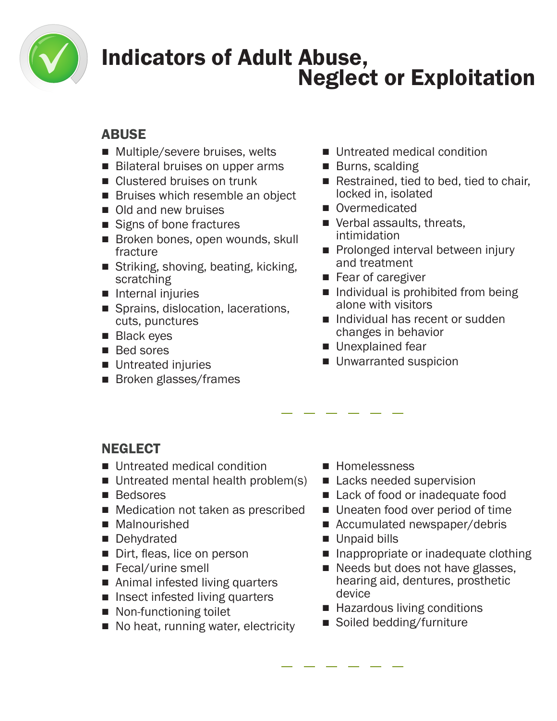

### Indicators of Adult Abuse, Neglect or Exploitation

#### ABUSE

- Multiple/severe bruises, welts
- Bilateral bruises on upper arms
- Clustered bruises on trunk
- Bruises which resemble an object
- Old and new bruises
- Signs of bone fractures
- Broken bones, open wounds, skull fracture
- Striking, shoving, beating, kicking, scratching
- Internal injuries
- Sprains, dislocation, lacerations, cuts, punctures
- Black eyes
- Bed sores
- Untreated injuries
- Broken glasses/frames
- Untreated medical condition
- Burns, scalding
- Restrained, tied to bed, tied to chair, locked in, isolated
- Overmedicated
- Verbal assaults, threats, intimidation
- Prolonged interval between injury and treatment
- Fear of caregiver
- Individual is prohibited from being alone with visitors
- Individual has recent or sudden changes in behavior
- Unexplained fear
- Unwarranted suspicion

### **NEGLECT**

- Untreated medical condition
- Untreated mental health problem(s)
- Bedsores
- Medication not taken as prescribed
- Malnourished
- Dehydrated
- Dirt, fleas, lice on person
- Fecal/urine smell
- Animal infested living quarters
- Insect infested living quarters
- Non-functioning toilet
- No heat, running water, electricity
- Homelessness
- Lacks needed supervision
- Lack of food or inadequate food
- Uneaten food over period of time
- Accumulated newspaper/debris
- Unpaid bills
- Inappropriate or inadequate clothing
- Needs but does not have glasses, hearing aid, dentures, prosthetic device
- Hazardous living conditions
- Soiled bedding/furniture